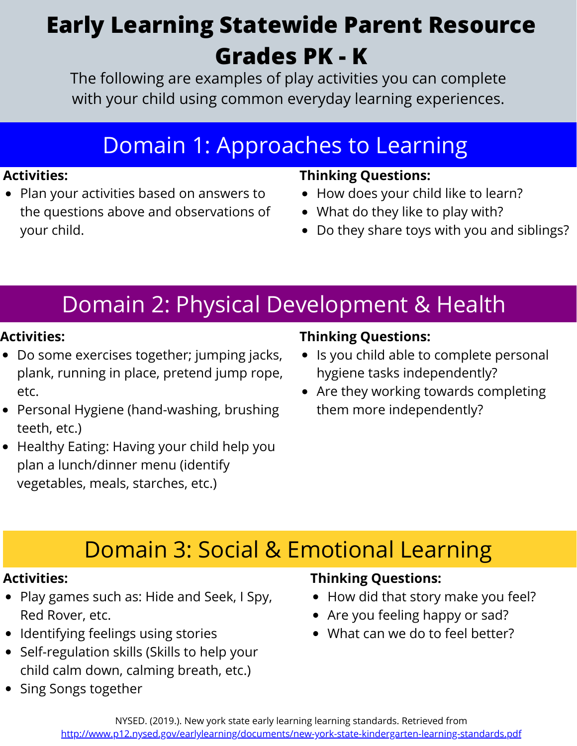# **Early Learning Statewide Parent Resource Grades PK - K**

The following are examples of play activities you can complete with your child using common everyday learning experiences.

## Domain 1: Approaches to Learning

#### **Activities:**

• Plan your activities based on answers to the questions above and observations of your child.

### **Thinking Questions:**

- How does your child like to learn?
- What do they like to play with?
- Do they share toys with you and siblings?

# Domain 2: Physical Development & Health

#### **Activities:**

- Do some exercises together; jumping jacks, plank, running in place, pretend jump rope, etc.
- Personal Hygiene (hand-washing, brushing teeth, etc.)
- Healthy Eating: Having your child help you plan a lunch/dinner menu (identify vegetables, meals, starches, etc.)

### **Thinking Questions:**

- Is you child able to complete personal hygiene tasks independently?
- Are they working towards completing them more independently?

# Domain 3: Social & Emotional Learning

#### **Activities:**

- Play games such as: Hide and Seek, I Spy, Red Rover, etc.
- Identifying feelings using stories
- Self-regulation skills (Skills to help your child calm down, calming breath, etc.)
- Sing Songs together

### **Thinking Questions:**

- How did that story make you feel?
- Are you feeling happy or sad?
- What can we do to feel better?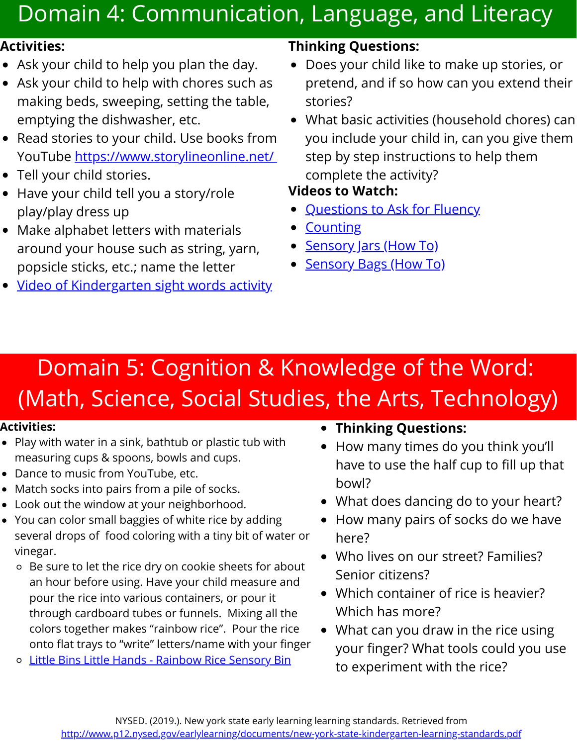# Domain 4: Communication, Language, and Literacy

#### **Activities:**

- Ask your child to help you plan the day.
- Ask your child to help with chores such as making beds, sweeping, setting the table, emptying the dishwasher, etc.
- Read stories to your child. Use books from YouTube [https://www.storylineonline.net/](https://www.youtube.com/user/StorylineOnline)
- Tell your child stories.
- Have your child tell you a story/role play/play dress up
- Make alphabet letters with materials around your house such as string, yarn, popsicle sticks, etc.; name the letter
- Video of [Kindergarten](https://drive.google.com/file/d/1wjKHj5vGzsnRFf86o8wqpYqPEnRrkgFn/view?usp=sharing) sight words activity

### **Thinking Questions:**

- Does your child like to make up stories, or pretend, and if so how can you extend their stories?
- What basic activities (household chores) can you include your child in, can you give them step by step instructions to help them complete the activity?

### **Videos to Watch:**

- [Questions](https://drive.google.com/file/d/1Enx6LzMGEaN0MUCDY_gsvVia3l0rWhId/view) to Ask for Fluency
- **[Counting](https://drive.google.com/file/d/1X6wT3Bt5pp84D8OtUnTXBcJkmwDwzORG/view)**
- [Sensory](https://drive.google.com/file/d/1E_4ToX9NbO4ZGRGTb2BAwZ2IUCG3kNlW/view) Jars (How To)
- [Sensory](https://drive.google.com/file/d/1J0WLwTHunmqmPRNPzqC3fQgLS_V5btGg/view) Bags (How To)

# Domain 5: Cognition & Knowledge of the Word: (Math, Science, Social Studies, the Arts, Technology)

- Play with water in a sink, bathtub or plastic tub with measuring cups & spoons, bowls and cups.
- Dance to music from YouTube, etc.
- Match socks into pairs from a pile of socks.
- Look out the window at your neighborhood.
- You can color small baggies of white rice by adding several drops of food coloring with a tiny bit of water or vinegar.
	- Be sure to let the rice dry on cookie sheets for about an hour before using. Have your child measure and pour the rice into various containers, or pour it through cardboard tubes or funnels. Mixing all the colors together makes "rainbow rice". Pour the rice onto flat trays to "write" letters/name with your finger
	- o [Little Bins Little Hands Rainbow Rice Sensory Bin](https://littlebinsforlittlehands.com/rainbow-rice-sensory-bin-invitation-to-play/)
- **Activities: Thinking Questions:**
	- How many times do you think you'll have to use the half cup to fill up that bowl?
	- What does dancing do to your heart?
	- How many pairs of socks do we have here?
	- Who lives on our street? Families? Senior citizens?
	- Which container of rice is heavier? Which has more?
	- What can you draw in the rice using your finger? What tools could you use to experiment with the rice?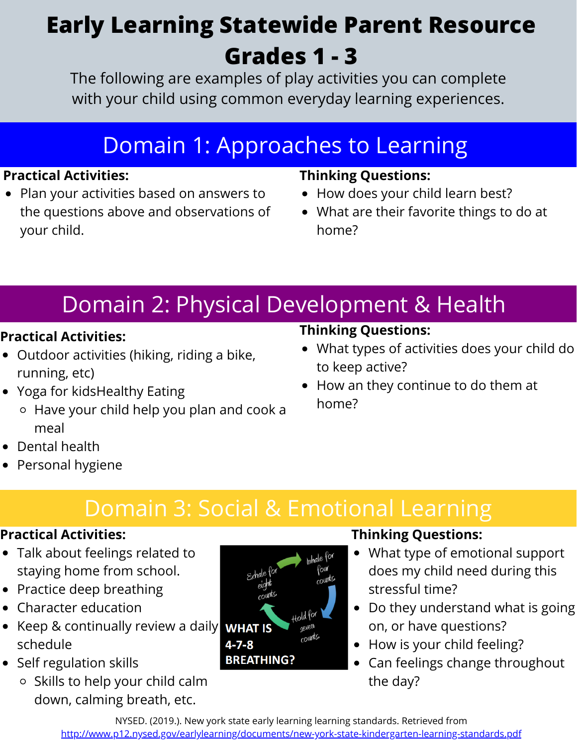# **Early Learning Statewide Parent Resource Grades 1 - 3**

The following are examples of play activities you can complete with your child using common everyday learning experiences.

# Domain 1: Approaches to Learning

### **Practical Activities:**

• Plan your activities based on answers to the questions above and observations of your child.

### **Thinking Questions:**

- How does your child learn best?
- What are their favorite things to do at home?

# Domain 2: Physical Development & Health

### **Practical Activities:**

- Outdoor activities (hiking, riding a bike, running, etc)
- Yoga for kidsHealthy Eating
	- Have your child help you plan and cook a meal

### Dental health

• Personal hygiene

# Domain 3: Social & Emotional Learning

### **Practical Activities:**

- Talk about feelings related to staying home from school.
- Practice deep breathing
- Character education
- Keep & continually review a daily WHAT IS schedule
- Self regulation skills
	- o Skills to help your child calm down, calming breath, etc.



### **Thinking Questions:**

- What type of emotional support does my child need during this stressful time?
- Do they understand what is going on, or have questions?
- How is your child feeling?
- Can feelings change throughout the day?

NYSED. (2019.). New york state early learning learning standards. Retrieved from <http://www.p12.nysed.gov/earlylearning/documents/new-york-state-kindergarten-learning-standards.pdf>

### **Thinking Questions:**

- What types of activities does your child do to keep active?
- How an they continue to do them at home?